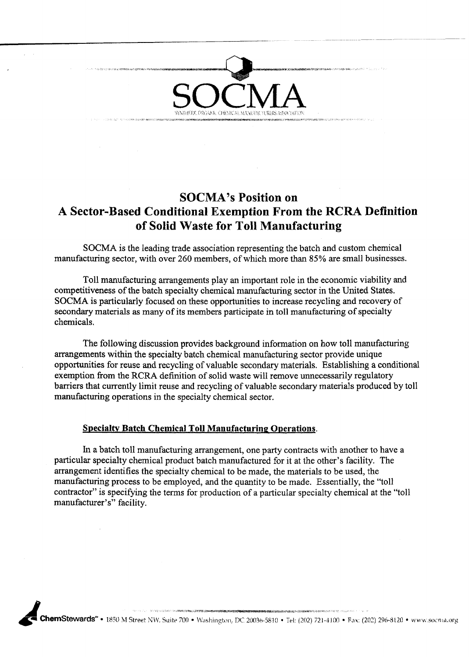

### **SOCMA's Position on A Sector-Based Conditional Exemption From the RCRA Definition of Solid Waste for Toll Manufacturing**

SOCMA is the Ieading trade association representing the batch and custom chemical manufacturing sector, with over 260 members, of which more than 85% are small businesses.

Toll manufacturing arrangements play an important role in the economic viability and competitiveness of the batch specialty chemical manufacturing sector in the United States. SOCMA is particularly focused on these opportunities to increase recycling and recovery of secondary materials as many of its members participate in toll manufacturing of specialty chemicals.

The following discussion provides background information on how toll manufacturing arrangements within the specialty batch chemical manufacturing sector provide unique opportunities for reuse and recycling of valuable secondarymaterials. Establishing a conditional exemption from the RCRA definition of solid waste will remove unnecessarily regulatory barriers that currently limit reuse and recycling of valuable secondary materials produced by toll manufacturing operations in the specialty chemical sector.

#### **Specialtv Batch Chemical Toll Manufacturing Operations.**

In a batch toll manufacturing arrangement, one party contracts with another to have a particular specialty chemical product batch manufactured for it at the other's facility. The arrangement identifies the specialty chemical to be made, the materials to be used, the manufacturing process to be employed, and the quantity to be made. Essentially, the "toll contractor" is specifying the terms for production of a particular specialty chemical at the "toll manufacturer's" facility.

ChemStewards" • 1850 M Street NW, Suite 700 • Washington, DC 20036-5810 • Tel: (202) 721-4100 • Fax: (202) 296-8120 • www.socnia.org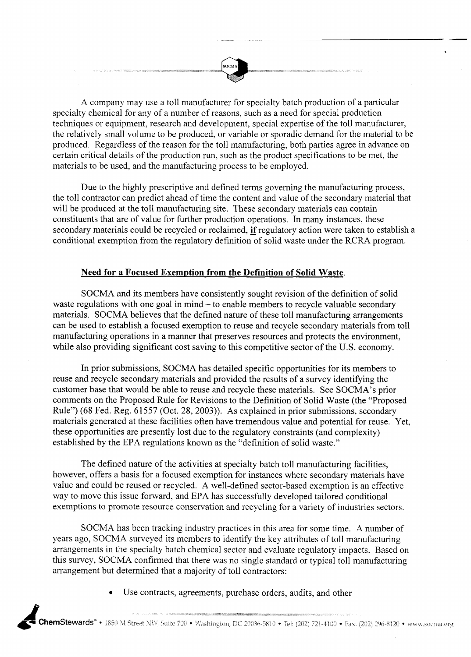A company may use a toll manufacturer for specialty batch production of a particular specialty chemical for any of a number of reasons, such as a need for special production techniques or equipment, research and development, special expertise of the toll manufacturer, the relatively small volume to be produced, or variable or sporadic demand for the material to be produced. Regardless of the reason for the toll manufacturing, both parties agree in advance on certain critical details of the production run, such as the product specifications to be met, the materials to be used, and the manufacturing process to be employed.

Due to the highly prescriptive and defined terms governing the manufacturing process, the toll contractor can predict ahead of time the content and value of the secondary material that will be produced at the toll manufacturing site. These secondary materials can contain constituents that are of value for further production operations. In many instances, these secondary materials could be recycled or reclaimed, **if** regulatory action were taken to establish a conditional exemption from the regulatory definition of solid waste under the RCRA program.

#### **Need for a Focused Exemption from the Definition of Solid Waste.**

SOCMA and its members have consistently sought revision of the definition of solid waste regulations with one goal in mind - to enable members to recycle valuable secondary materials. SOCMA believes that the defined nature of these toll manufacturing arrangements can be used to establish a focused exemption to reuse and recycle secondary materials from toll manufacturing operations in a manner that preserves resources and protects the environment, while also providing significant cost saving to this competitive sector of the U.S. economy.

In prior submissions, SOCMA has detailed specific opportunities for its members to reuse and recycle secondary materials and provided the results of a survey identifying the customer base that would be able to reuse and recycle these materials. See SOCMA's prior comments on the Proposed Rule for Revisions to the Definition of Solid Waste (the "Proposed Rule") (68 Fed. Reg. 61557 (Oct. 28, 2003)). As explained in prior submissions, secondary materials generated at these facilities often have tremendous value and potential for reuse. Yet, these opportunities are presently lost due to the regulatory constraints (and complexity) established by the EPA regulations known as the "definition of solid waste."

The defined nature of the activities at specialty batch toll manufacturing facilities, however, offers a basis for a focused exemption for instances where secondary materials have value and could be reused or recycled. A well-defined sector-based exemption is an effective way to move this issue forward, and EPA has successfully developed tailored conditional exemptions to promote resource conservation and recycling for a variety of industries sectors.

SOCMA has been tracking industry practices in this area for some time. A number of years ago, SOCMA surveyed its members to identify the key attributes of toll manufacturing arrangements in the specialty batch chemical sector and evaluate regulatory impacts. Based on this survey, SOCMA confirmed that there was no single standard or typical toll manufacturing arrangement but determined that a majority of toll contractors:

Use contracts, agreements, purchase orders, audits, and other

.<br>Pilipun katang perang saat ng pangalang sa pagang pangalang pangang pang sa sa sa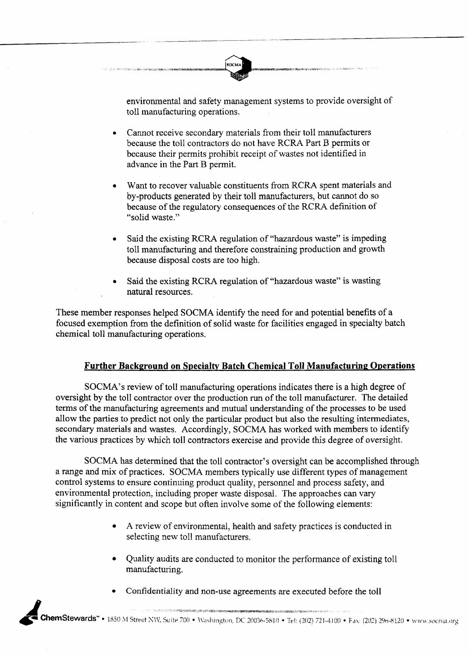environmental and safety management systems to provide oversight of toll manufacturing operations.

Cannot receive secondary materials from their toll manufacturers  $\bullet$ because the toll contractors do not have RCRA Part B permits or because their permits prohibit receipt of wastes not identified in advance in the Part B permit.

**SOCM** 

- Want to recover valuable constituents from RCRA spent materials and by-products generated by their toll manufacturers, but cannot do so because of the regulatory consequences of the RCRA definition of "solid waste."
- Said the existing RCRA regulation of "hazardous waste" is impeding toll manufacturing and therefore constraining production and growth because disposal costs are too high.
- Said the existing RCRA regulation of "hazardous waste" is wasting natural resources.

These member responses helped SOCMA identify the need for and potential benefits of a focused exemption from the definition of solid waste for facilities engaged in specialty batch chemical toll manufacturing operations.

### **Further Background on Specialty Batch Chemical Toll Manufacturing Operations**

SOCMA's review of toll manufacturing operations indicates there is a high degree of oversight by the toll contractor over the production run of the toll manufacturer. The detailed terms of the manufacturing agreements and mutual understanding of the processes to be used allow the parties to predict not only the particular product but also the resulting intermediates, secondary materials and wastes. Accordingly, SOCMA has worked with members to identify the various practices by which toll contractors exercise and provide this degree of oversight.

SOCMA has determined that the toll contractor's oversight can be accomplished through a range and mix of practices. SOCMA members typically use different types of management control systems to ensure continuing product quality, personnel and process safety, and environmental protection, including proper waste disposal. The approaches can vary significantly in content and scope but often involve some of the following elements:

- $\bullet$ **A** review of environmental, health and safety practices is conducted in selecting new toll manufacturers.
- Quality audits are conducted to monitor the performance of existing toll manufacturing.
- Confidentiality and non-use agreements are executed before the toil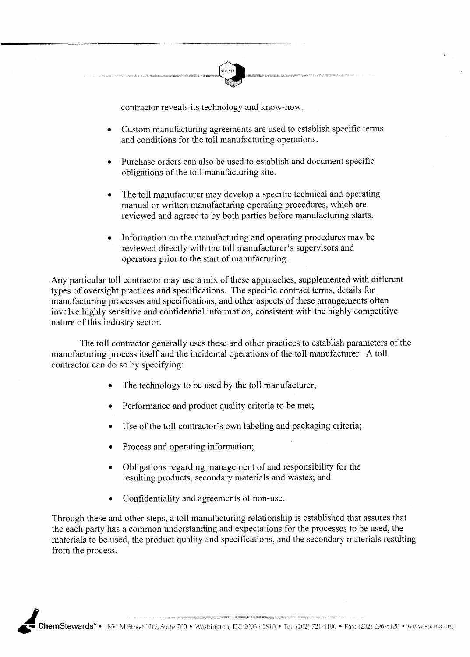

contractor reveals its technology and know-how.

- Custom manufacturing agreements are used to establish specific terms and conditions for the toll manufacturing operations.
- Purchase orders can also be used to establish and document specific obligations of the toll manufacturing site.
- The toll manufacturer may develop a specific technical and operating manual or written manufacturing operating procedures, which are reviewed and agreed to by both parties before manufacturing starts.
- Information on the manufacturing and operating procedures may be reviewed directly with the toll manufacturer's supervisors and operators prior to the start of manufacturing.

Any particular toll contractor may use a mix of these approaches, supplemented with different types of oversight practices and specifications. The specific contract terms, details for manufacturing processes and specifications, and other aspects of these arrangements often involve highly sensitive and confidential information, consistent with the highly competitive nature of this industry sector.

The toll contractor generally uses these and other practices to establish parameters of the manufacturing process itself and the incidental operations of the toll manufacturer. A toll contractor can do so by specifying:

- The technology to be used by the toll manufacturer;  $\bullet$
- Performance and product quality criteria to be met;  $\bullet$
- Use of the toll contractor's own labeling and packaging criteria;  $\bullet$
- Process and operating information;
- Obligations regarding management of and responsibility for the resulting products, secondary materials and wastes; and
- Confidentiality and agreements of non-use.  $\bullet$

Through these and other steps, a toll manufacturing relationship is established that assures that the each party has a common understanding and expectations for the processes to be used, the materials to be used, the product quality and specifications, and the secondary materials resulting from the process.

.<br>2000 - Personald Baltimore and the company of the company of the company of the company of the company of the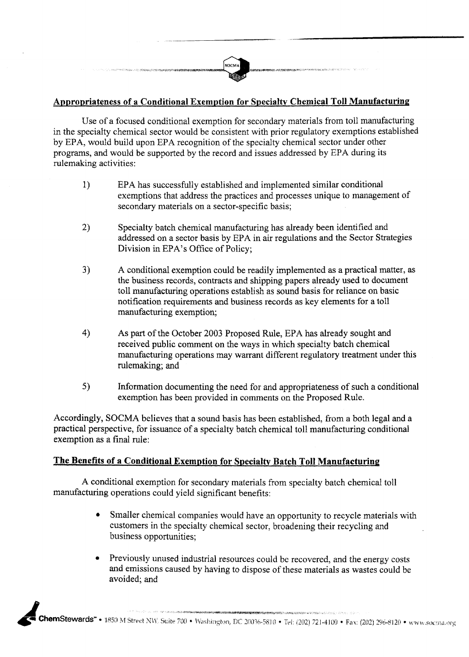### **Appropriateness of a Conditional Exemption for Specialtv Chemical Toll Manufacturing**

Use of a focused conditional exemption for secondary materials from toll manufacturing in the specialty chemical sector would be consistent with prior regulatory exemptions established by EPA, would build upon EPA recognition of the specialty chemical sector under other programs, and would be supported by the record and issues addressed by EPA during its rulemaking activities:

- 1) EPA has successfully established and implemented similar conditional exemptions that address the practices and processes unique to management of secondary materials on a sector-specific basis;
- 2) Specialty batch chemical manufacturing has already been identified and addressed on a sector basis by EPA in air regulations and the Sector Strategies Division in EPA's Office of Policy;
- **3)** A conditional exemption could be readily implemented as a practical matter, as the business records, contracts and shipping papers already used to document toll manufacturing operations establish as sound basis for reliance on basic notification requirements and business records as key elements for a toll manufacturing exemption;
- 4) As part of the October 2003 Proposed Rule, EPA has already sought and received public comment on the ways in which specialty batch chemical manufacturing operations may warrant different regulatory treatment under this rulemaking; and
- **5)** Information documenting the need for and appropriateness of such a conditional exemption has been provided in comments on the Proposed Rule.

Accordingly, SOCMA believes that a sound basis has been established, from a both legal and a practical perspective, for issuance of a specialty batch chemical toll manufacturing conditional exemption as a final rule:

### **The Benefits of a Conditional Exemption for Specialty Batch Toll Manufacturing**

A conditional exemption for secondary materials from specialty batch chemical toll manufacturing operations could yield significant benefits:

- Smaller chemical companies would have an opportunity to recycle materials with  $\bullet$ customers in the specialty chemical sector, broadening their recycling and business opportunities;
- Previously unused industrial resources could be recovered, and the energy costs  $\bullet$ and emissions caused by having to dispose of these materials as wastes could be avoided; and

.<br>NGC 1997 Yangi 1998 yang ketikan di pengerusaan dan tersebut dalam ketikan dan tersebut dan tersebut dan terse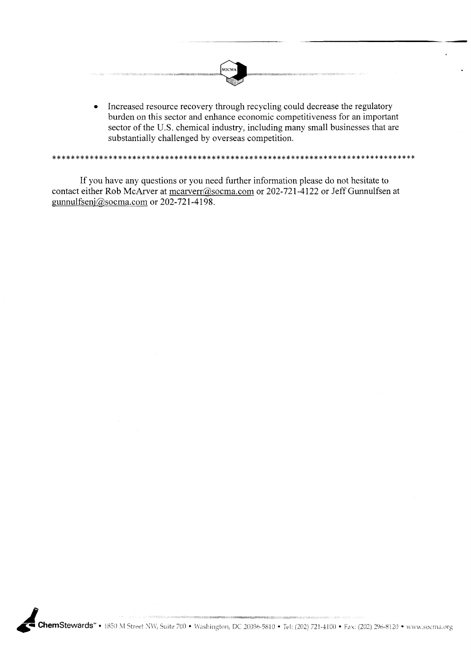

Increased resource recovery through recycling could decrease the regulatory  $\bullet$ burden on this sector and enhance economic competitiveness for an important sector of the U.S. chemical industry, including many small businesses that are substantially challenged by overseas competition.

\*\*\*\*\*\*\*\*\*\*\*\*\*\*\*\*\*\*\*\*\*\*\*\*\*\*\*\*\*\*\*\*\*

If you have any questions or you need further information please do not hesitate to contact either Rob McArver at  $\frac{m \cdot \cos \theta}{m \cdot \cos \theta}$  or 202-721-4122 or Jeff Gunnulfsen at gunnulfsenj $@$ socma.com or 202-721-4198.

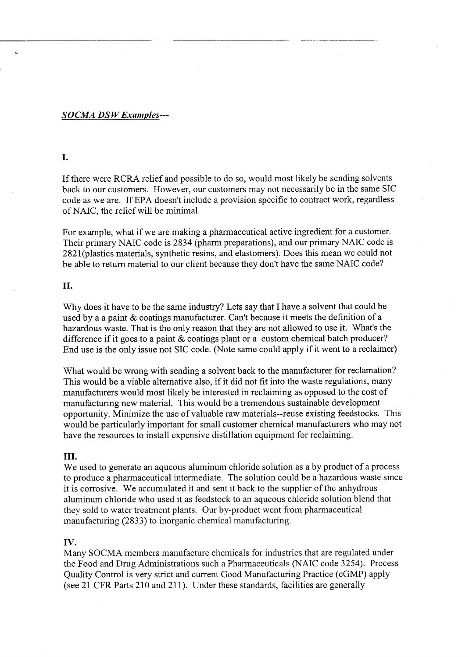#### *SOCMA DS WExamples---*

### L.

If there were RCRA relief and possible to do so, would most likely be sending solvents back to our customers. However, our customers may not necessarily be in the same SIC code as we are. If EPA doesn't include a provision specific to contract work, regardless of NAIC, the relief will be minimal.

For example, what if we are making a pharmaceutical active ingredient for a customer. Their primary NAIC code is 2834 (pharm preparations), and our primary NAIC code is 2821(plastics materials, synthetic resins, and elastomers). Does this mean we could not be able to return material to our client because they don't have the same NAIC code?

#### II.

Why does it have to be the same industry? Lets say that I have a solvent that could be used by a a paint & coatings manufacturer. Can't because it meets the definition of a hazardous waste. That is the only reason that they are not allowed to use it. What's the difference if it goes to a paint & coatings plant or a custom chemical batch producer? End use is the only issue not SIC code. (Note same could apply if it went to a reclaimer)

What would be wrong with sending a solvent back to the manufacturer for reclamation? This would be a viable alternative also, if it did not fit into the waste regulations, many manufacturers would most likely be interested in reclaiming as opposed to the cost of manufacturing new material. This would be a tremendous sustainable development opportunity. Minimize the use of valuable raw materials--reuse existing feedstocks. This would be particularly important for small customer chemical manufacturers who may not have the resources to install expensive distillation equipment for reclaiming.

#### **111.**

We used to generate an aqueous aluminum chloride solution as a by product of a process to produce a pharmaceutical intermediate. The solution could be a hazardous waste since it is corrosive. We accumulated it and sent it back to the supplier of the anhydrous aluminum chloride who used it as feedstock to an aqueous chloride solution blend that they sold to water treatment plants. Our by-product went from pharmaceutical manufacturing (2833) to inorganic chemical manufacturing.

#### **IV.**

Many SOCMA members manufacture chemicals for industries that are regulated under the Food and Drug Administrations such a Pharmaceuticals (NAIC code 3254). Process Quality Control is very strict and current Good Manufacturing Practice (cGMP) apply (see 21 CFR Parts 210 and 211). Under these standards, facilities are generally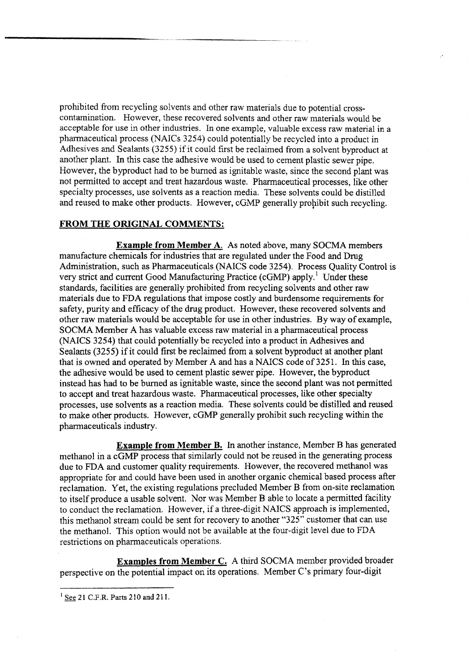prohibited from recycling solvents and other raw materials due to potential crosscontamination. However, these recovered solvents and other raw materials would be acceptable for use in other industries. In one example, valuable excess raw material in a pharmaceutical process (NAICs 3254) could potentially be recycled into a product in Adhesives and Sealants (3255) if it could first be reclaimed from a solvent byproduct at another plant. In this case the adhesive would be used to cement plastic sewer pipe. However, the byproduct had to be burned as ignitable waste, since the second plant was not permitted to accept and treat hazardous waste. Pharmaceutical processes, like other specialty processes, use solvents as a reaction media. These solvents could be distilled and reused to make other products. However, cGMP generally prohibit such recycling.

#### **FROM THE ORIGINAL COMMENTS:**

**Example from Member A.** As noted above, many SOCMA members manufacture chemicals for industries that are regulated under the Food and **Drug**  Administration, such as Pharmaceuticals (NAICS code 3254). Process Quality Control is very strict **and** current Good Manufacturing Practice (cGMP) apply.' Under these standards, facilities are generally prohibited from recycling solvents and other raw materials due to FDA regulations that impose costly and burdensome requirements for safety, purity and efficacy of the drug product. However, these recovered solvents and other raw materials would be acceptable for use in other industries. By way of example, SOCMA Member A has valuable excess raw material in a pharmaceutical process (NAICS 3254) that could potentially be recycled into a product in Adhesives and Sealants (3255) if it could first be reclaimed from a solvent byproduct at another plant that is owned and operated by Member A and has a NAICS code of 3251. In this case, the adhesive would be used to cement plastic sewer pipe. However, the byproduct instead has had to be burned as ignitable waste, since the second plant was not permitted to accept and treat hazardous waste. Pharmaceutical processes, like other specialty processes, use solvents as a reaction media. These solvents could be distilled and reused to make other products. However, cGMP generally prohibit such recycling within the pharmaceuticals industry.

**Example from Member B. In** another instance, Member B has generated methanol in a cGMP process that similarly could not be reused in the generating process due to FDA and customer quality requirements. However, the recovered methanol was appropriate for and could have been used in another organic chemical based process after reclamation. Yet, the existing regulations precluded Member B from on-site reclamation to itself produce a usable solvent. Nor was Member B able to locate a permitted facility to conduct the reclamation. However, if a three-digit NAICS approach is implemented, this methanol stream could be sent for recovery to another **"325"**customer that can use the methanol. This option would not be available at the four-digit level due to FDA restrictions on pharmaceuticals operations.

**Examples from Member C.** A third SOCMA member provided broader perspective on the potential impact on its operations. Member C's primary four-digit  $\frac{1}{\text{See 21 C.F.R. Parts 210 and 211.}}$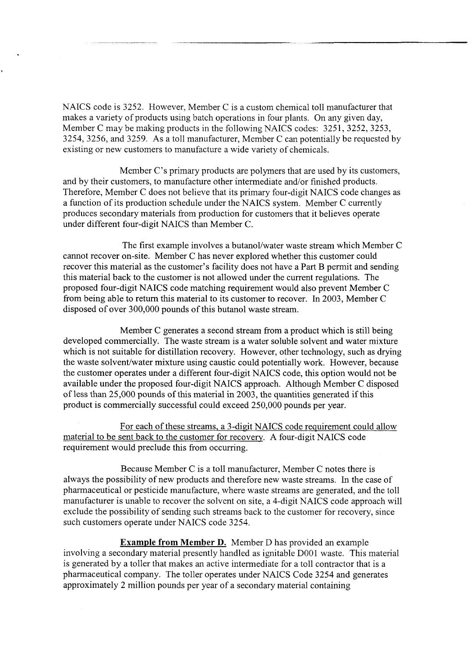NAICS code is 3252. However, Member C is a custom chemical toll manufacturer that makes a variety of products using batch operations in four plants. On any given day, Member C may be making products in the following NAICS codes: 3251, 3252, 3253, 3254, 3256, and 3259. As a toll manufacturer, Member C can potentially be requested by existing or new customers to manufacture a wide variety of chemicals.

Member C's primary products are polymers that are used by its customers, and by their customers, to manufacture other intermediate and/or finished products. Therefore, Member C does not believe that its primary four-digit NAICS code changes as a function of its production schedule under the NAICS system. Member C currently produces secondary materials from production for customers that it believes operate under different four-digit NAICS than Member C.

The first example involves a butanol/water waste stream which Member C cannot recover on-site. Member C has never explored whether this customer could recover this material as the customer's facility does not have a Part B permit and sending this material back to the customer is not allowed under the current regulations. The proposed four-digit NAICS code matching requirement would also prevent Member C from being able to return this material to its customer to recover. In 2003, Member C disposed of over 300,000 pounds of this butanol waste stream.

Member C generates a second stream from a product which is still being developed commercially. The waste stream is a water soluble solvent and water mixture which is not suitable for distillation recovery. However, other technology, such as drying the waste solvent/water mixture using caustic could potentially work. However, because the customer operates under a different four-digit NAICS code, this option would not be available under the proposed four-digit NAICS approach. Although Member C disposed of less than 25,000 pounds of this material in 2003, the quantities generated if this product is commercially successful could exceed 250,000 pounds per year.

For each of these streams, a 3-digit NAICS code requirement could allow material to be sent back to the customer for recovery. A four-digit NAICS code requirement would preclude this from occurring.

Because Member C is a toll manufacturer, Member C notes there is always the possibility of new products and therefore new waste streams, In the case of pharmaceutical or pesticide manufacture, where waste streams are generated, and the toll manufacturer is unable to recover the solvent on site, a 4-digit NAICS code approach will exclude the possibility of sending such streams back to the customer for recovery, since such customers operate under NAICS code 3254.

**Example from Member D.** Member **D** has provided an example involving a secondary material presently handled as ignitable DO01 waste. This material is generated by a toller that makes an active intermediate for a toll contractor that is a pharmaceutical company. The toller operates under NAICS Code 3254 and generates approximately 2 million pounds per year of a secondary material containing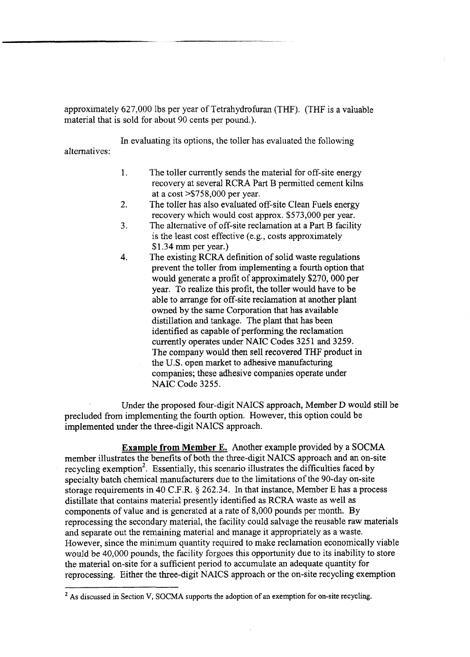approximately 627,000 lbs per year of Tetrahydrofuran (THF). (THF is a valuable material that is sold for about 90 cents per pound.).

In evaluating its options, the toller has evaluated the following alternatives:

- 1. The toller currently sends the material for off-site energy recovery at several RCRA Part B permitted cement kilns at a cost >\$758,000 per year.
- 2. The toller has also evaluated off-site Clean Fuels energy recovery which would cost approx. \$573,000 per year.
- **3.** The alternative of off-site reclamation at a Part **B** facility is the least cost effective (e.g., costs approximately \$1.34 mm per year.)
- 4. The existing RCRA definition of solid waste regulations prevent the toller from implementing a fourth option that would generate a profit of approximately \$270,000 per year. To realize this profit, the toller would have to be able to arrange for off-site reclamation at another plant owned by the same Corporation that has available distillation and tankage. The plant that has been identified as capable of performing the reclamation currently operates under NAIC Codes **3251** and **3259. The** company would then sell recovered THF product in the U.S. open market to adhesive manufacturing companies; these adhesive companies operate under NAIC Code **3255.**

Under the proposed four-digit NAICS approach, Member D would still be precluded from implementing the fourth option. However, this option could be implemented under the three-digit NAICS approach.

**Example from Member** E. Another example provided by a SOCMA member illustrates the benefits of both the three-digit NAICS approach and an on-site recycling exemption<sup>2</sup>. Essentially, this scenario illustrates the difficulties faced by specialty batch chemical manufacturers due to the limitations of the 90-day on-site storage requirements in 40 C.F.R. § **262.34. In** that instance, Member E has a process distillate that contains material presently identified as RCRA waste as well as components of value and is generated at a rate of 8,000 pounds per month. By reprocessing the secondary material, the facility could salvage the reusable raw materials and separate out the remaining material and manage it appropriately as a waste. However, since the minimum quantity required to make reclamation economically viable would be 40,000 pounds, the facility forgoes this opportunity due to its inability to store the material on-site for a sufficient period to accumulate an adequate quantity for reprocessing. Either the three-digit NAICS approach or the on-site recycling exemption

<sup>&</sup>lt;sup>2</sup> As discussed in Section V, SOCMA supports the adoption of an exemption for on-site recycling.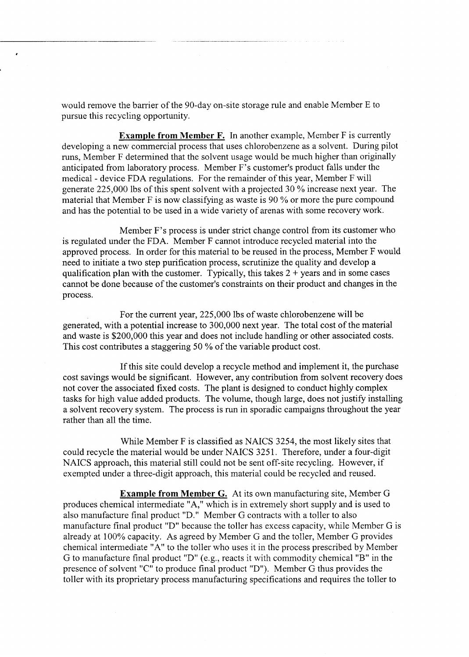would remove the barrier of the 90-day on-site storage rule and enable Member E to pursue this recycling opportunity.

**Example from Member F.** In another example, Member F is currently developing a new commercial process that uses chlorobenzene as a solvent. During pilot runs, Member F determined that the solvent usage would be much higher than originally anticipated from laboratory process. Member F's customer's product falls under the medical - device FDA regulations. For the remainder of this year, Member F will generate 225,000 lbs of this spent solvent with a projected 30 % increase next year. The material that Member F is now classifying as waste is 90 % or more the pure compound and has the potential to be used in a wide variety of arenas with some recovery work.

Member F's process is under strict change control from its customer who is regulated under the FDA. Member F cannot introduce recycled material into the approved process. In order for this material to be reused in the process, Member F would need to initiate a two step purification process, scrutinize the quality and develop a qualification plan with the customer. Typically, this takes  $2 + \text{years}$  and in some cases cannot be done because of the customer's constraints on their product and changes in the process.

For the current year, 225,000 lbs of waste chlorobenzene will be generated, with a potential increase to 300,000 next year. The total cost of the material and waste is \$200,000 this year and does not include handling or other associated costs. This cost contributes a staggering 50 % of the variable product cost.

If this site could develop a recycle method and implement it, the purchase cost savings would be significant. However, any contribution from solvent recovery does not cover the associated fixed costs. The plant is designed to conduct highly complex tasks for high value added products. The volume, though large, does not justify installing a solvent recovery system. The process is run in sporadic campaigns throughout the year rather than all the time.

While Member F is classified as NAICS 3254, the most likely sites that could recycle the material would be under NAICS 325 1. Therefore, under a four-digit NAICS approach, this material still could not be sent off-site recycling. However, if exempted under a three-digit approach, this material could be recycled and reused.

**Example from Member G.** At its own manufacturing site, Member G produces chemical intermediate "A," which is in extremely short supply and is used to also manufacture final product "D." Member G contracts with a toller to also manufacture final product "D" because the toller has excess capacity, while Member G is already at 100% capacity. As agreed by Member G and the toller, Member G provides chemical intermediate "A" to the toller who uses it in the process prescribed by Member G to manufacture final product "D" (e.g., reacts it with commodity chemical "B" in the presence of solvent "C" to produce final product "D"). Member G thus provides the toller with its proprietary process manufacturing specifications and requires the toller to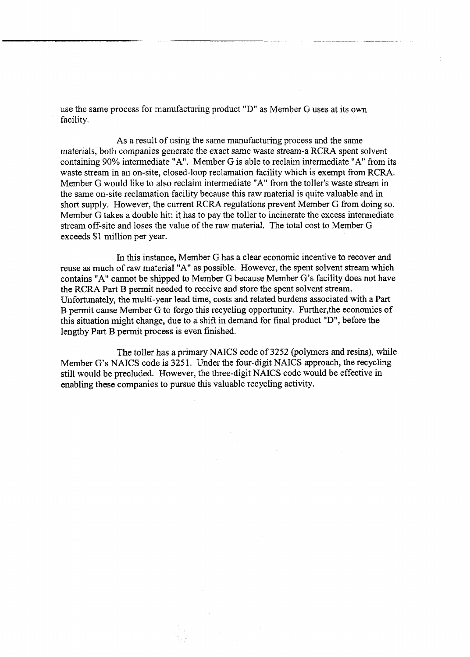use the same process for manufacturing product "D" as Member G uses at its own facility.

As a result of using the same manufacturing process and the same materials, both companies generate the exact same waste stream-a RCRA spent solvent containing 90% intermediate "A". Member G is able to reclaim intermediate **"A"**from its waste stream in an on-site, closed-loop reclamation facility which is exempt from RCRA. Member G would like to also reclaim intermediate **"A"**from the toller's waste stream in the same on-site reclamation facility because this raw material is quite valuable and in short supply. However, the current RCRA regulations prevent Member G from doing so. Member G takes a double hit: it has to pay the toller to incinerate the excess intermediate stream off-site and loses the value of the raw material. The total cost to Member *G*  exceeds \$1 million per year.

In this instance, Member G has a clear economic incentive to recover and reuse as much of raw material "A" as possible. However, the spent solvent stream which contains **"A"**cannot be shipped to Member G because Member G's facility does not have the RCRA Part B permit needed to receive and store the spent solvent stream. Unfortunately, the multi-year lead time, costs and related burdens associated with a Part B permit cause Member G to forgo this recycling opportunity. Further,the economics of this situation might change, due to a shift in demand for final product "D", before the lengthy Part B permit process is even finished.

The toller has a primary NAICS code of 3252 (polymers and resins), while Member G's **NAICS** code is **325** 1. Under the four-digit NAICS approach, the recycling still would be precluded. However, the three-digit **NAICS** code would be effective in enabling these companies to pursue this valuable recycling activity.